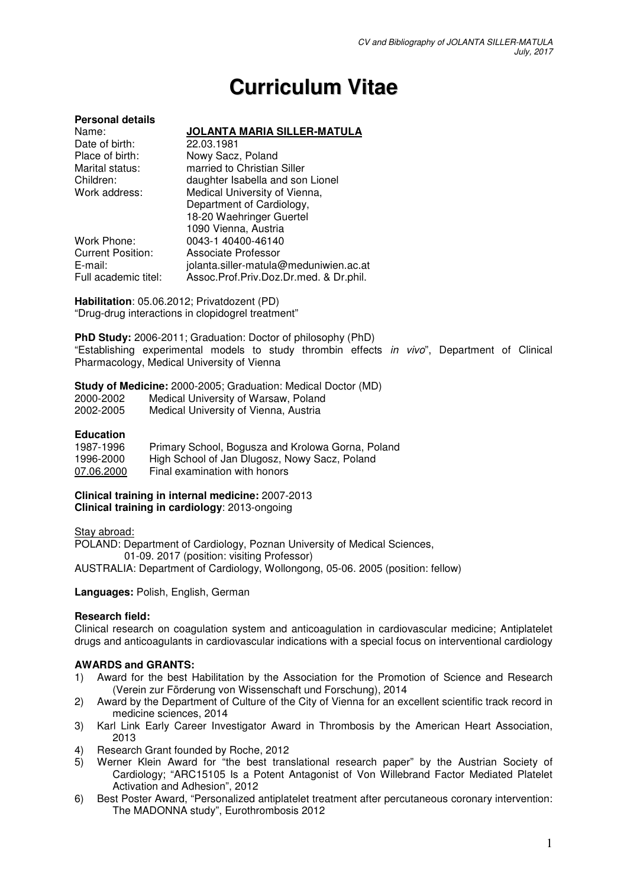# **Curriculum Vitae**

#### **Personal details**  Name: **JOLANTA MARIA SILLER-MATULA**<br>Date of birth: 22.03.1981 Date of birth:<br>Place of birth: Nowy Sacz, Poland Marital status: married to Christian Siller Children: daughter Isabella and son Lionel Work address: Medical University of Vienna, Department of Cardiology, 18-20 Waehringer Guertel 1090 Vienna, Austria<br>1090 Vienna, Austria<br>1400-46140 0043-1 40400-46140 Current Position: Associate Professor<br>
F-mail: iolanta siller-matula iolanta.siller-matula@meduniwien.ac.at Full academic titel: Assoc.Prof.Priv.Doz.Dr.med. & Dr.phil.

**Habilitation**: 05.06.2012; Privatdozent (PD) "Drug-drug interactions in clopidogrel treatment"

**PhD Study:** 2006-2011; Graduation: Doctor of philosophy (PhD) "Establishing experimental models to study thrombin effects in vivo", Department of Clinical Pharmacology, Medical University of Vienna

#### **Study of Medicine:** 2000-2005; Graduation: Medical Doctor (MD)

| 2000-2002 | Medical University of Warsaw, Poland  |
|-----------|---------------------------------------|
| 2002-2005 | Medical University of Vienna, Austria |

## **Education**

| 1987-1996  | Primary School, Bogusza and Krolowa Gorna, Poland |
|------------|---------------------------------------------------|
| 1996-2000  | High School of Jan Dlugosz, Nowy Sacz, Poland     |
| 07.06.2000 | Final examination with honors                     |

#### **Clinical training in internal medicine:** 2007-2013 **Clinical training in cardiology**: 2013-ongoing

Stay abroad:

POLAND: Department of Cardiology, Poznan University of Medical Sciences, 01-09. 2017 (position: visiting Professor) AUSTRALIA: Department of Cardiology, Wollongong, 05-06. 2005 (position: fellow)

**Languages:** Polish, English, German

## **Research field:**

Clinical research on coagulation system and anticoagulation in cardiovascular medicine; Antiplatelet drugs and anticoagulants in cardiovascular indications with a special focus on interventional cardiology

## **AWARDS and GRANTS:**

- 1) Award for the best Habilitation by the Association for the Promotion of Science and Research (Verein zur Förderung von Wissenschaft und Forschung), 2014
- 2) Award by the Department of Culture of the City of Vienna for an excellent scientific track record in medicine sciences, 2014
- 3) Karl Link Early Career Investigator Award in Thrombosis by the American Heart Association, 2013
- 4) Research Grant founded by Roche, 2012
- 5) Werner Klein Award for "the best translational research paper" by the Austrian Society of Cardiology; "ARC15105 Is a Potent Antagonist of Von Willebrand Factor Mediated Platelet Activation and Adhesion", 2012
- 6) Best Poster Award, "Personalized antiplatelet treatment after percutaneous coronary intervention: The MADONNA study", Eurothrombosis 2012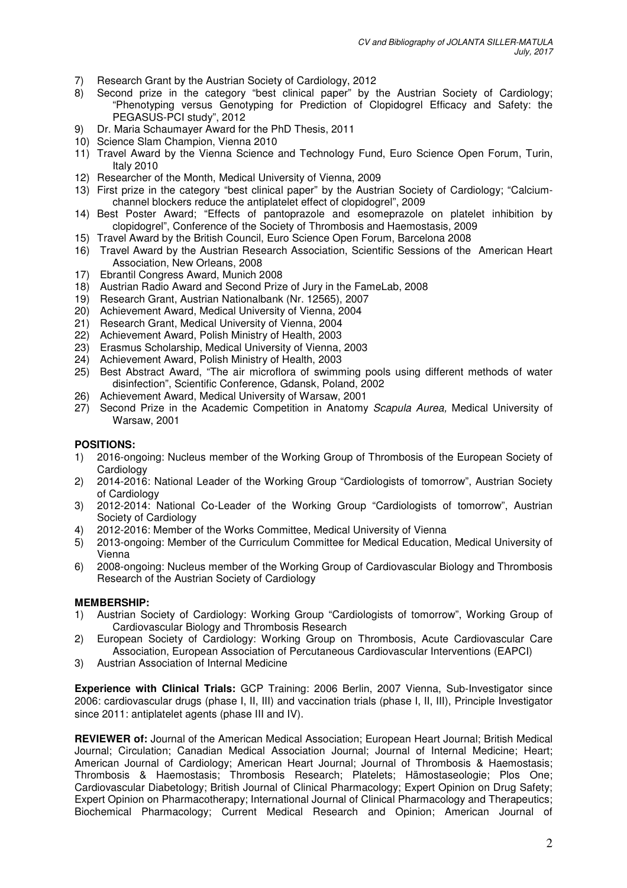- 7) Research Grant by the Austrian Society of Cardiology, 2012
- 8) Second prize in the category "best clinical paper" by the Austrian Society of Cardiology; "Phenotyping versus Genotyping for Prediction of Clopidogrel Efficacy and Safety: the PEGASUS-PCI study", 2012
- 9) Dr. Maria Schaumayer Award for the PhD Thesis, 2011
- 10) Science Slam Champion, Vienna 2010
- 11) Travel Award by the Vienna Science and Technology Fund, Euro Science Open Forum, Turin, Italy 2010
- 12) Researcher of the Month, Medical University of Vienna, 2009
- 13) First prize in the category "best clinical paper" by the Austrian Society of Cardiology; "Calciumchannel blockers reduce the antiplatelet effect of clopidogrel", 2009
- 14) Best Poster Award; "Effects of pantoprazole and esomeprazole on platelet inhibition by clopidogrel", Conference of the Society of Thrombosis and Haemostasis, 2009
- 15) Travel Award by the British Council, Euro Science Open Forum, Barcelona 2008
- 16) Travel Award by the Austrian Research Association, Scientific Sessions of the American Heart Association, New Orleans, 2008
- 17) Ebrantil Congress Award, Munich 2008
- 18) Austrian Radio Award and Second Prize of Jury in the FameLab, 2008
- 19) Research Grant, Austrian Nationalbank (Nr. 12565), 2007
- 20) Achievement Award, Medical University of Vienna, 2004
- 21) Research Grant, Medical University of Vienna, 2004
- 22) Achievement Award, Polish Ministry of Health, 2003
- 23) Erasmus Scholarship, Medical University of Vienna, 2003
- 24) Achievement Award, Polish Ministry of Health, 2003
- 25) Best Abstract Award, "The air microflora of swimming pools using different methods of water disinfection", Scientific Conference, Gdansk, Poland, 2002
- 26) Achievement Award, Medical University of Warsaw, 2001
- 27) Second Prize in the Academic Competition in Anatomy Scapula Aurea, Medical University of Warsaw, 2001

# **POSITIONS:**

- 1) 2016-ongoing: Nucleus member of the Working Group of Thrombosis of the European Society of **Cardiology**
- 2) 2014-2016: National Leader of the Working Group "Cardiologists of tomorrow", Austrian Society of Cardiology
- 3) 2012-2014: National Co-Leader of the Working Group "Cardiologists of tomorrow", Austrian Society of Cardiology
- 4) 2012-2016: Member of the Works Committee, Medical University of Vienna
- 5) 2013-ongoing: Member of the Curriculum Committee for Medical Education, Medical University of Vienna
- 6) 2008-ongoing: Nucleus member of the Working Group of Cardiovascular Biology and Thrombosis Research of the Austrian Society of Cardiology

## **MEMBERSHIP:**

- 1) Austrian Society of Cardiology: Working Group "Cardiologists of tomorrow", Working Group of Cardiovascular Biology and Thrombosis Research
- 2) European Society of Cardiology: Working Group on Thrombosis, Acute Cardiovascular Care Association, European Association of Percutaneous Cardiovascular Interventions (EAPCI)
- 3) Austrian Association of Internal Medicine

**Experience with Clinical Trials:** GCP Training: 2006 Berlin, 2007 Vienna, Sub-Investigator since 2006: cardiovascular drugs (phase I, II, III) and vaccination trials (phase I, II, III), Principle Investigator since 2011: antiplatelet agents (phase III and IV).

**REVIEWER of:** Journal of the American Medical Association; European Heart Journal; British Medical Journal; Circulation; Canadian Medical Association Journal; Journal of Internal Medicine; Heart; American Journal of Cardiology; American Heart Journal; Journal of Thrombosis & Haemostasis; Thrombosis & Haemostasis; Thrombosis Research; Platelets; Hämostaseologie; Plos One; Cardiovascular Diabetology; British Journal of Clinical Pharmacology; Expert Opinion on Drug Safety; Expert Opinion on Pharmacotherapy; International Journal of Clinical Pharmacology and Therapeutics; Biochemical Pharmacology; Current Medical Research and Opinion; American Journal of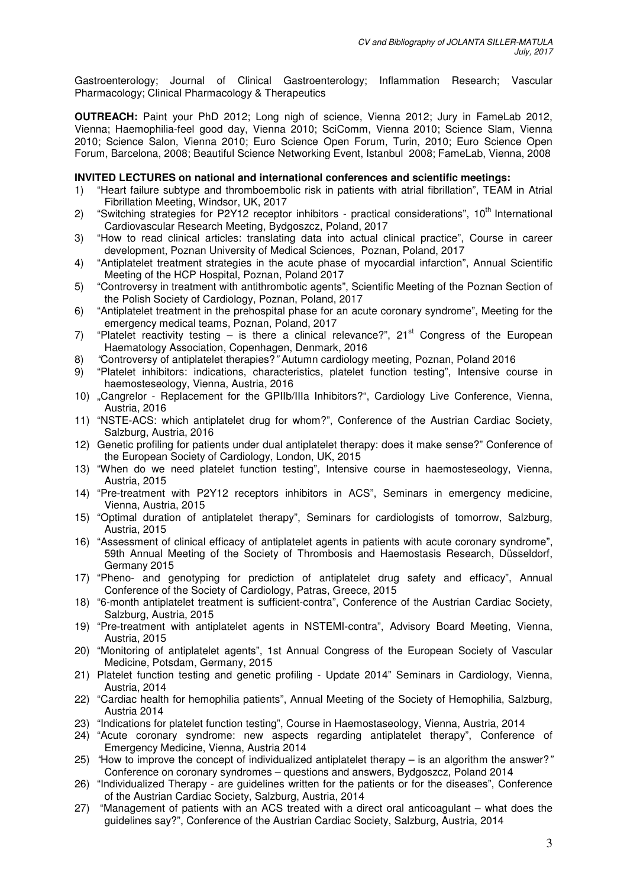Gastroenterology; Journal of Clinical Gastroenterology; Inflammation Research; Vascular Pharmacology; Clinical Pharmacology & Therapeutics

**OUTREACH:** Paint your PhD 2012; Long nigh of science, Vienna 2012; Jury in FameLab 2012, Vienna; Haemophilia-feel good day, Vienna 2010; SciComm, Vienna 2010; Science Slam, Vienna 2010; Science Salon, Vienna 2010; Euro Science Open Forum, Turin, 2010; Euro Science Open Forum, Barcelona, 2008; Beautiful Science Networking Event, Istanbul 2008; FameLab, Vienna, 2008

#### **INVITED LECTURES on national and international conferences and scientific meetings:**

- 1) "Heart failure subtype and thromboembolic risk in patients with atrial fibrillation", TEAM in Atrial Fibrillation Meeting, Windsor, UK, 2017
- 2) "Switching strategies for P2Y12 receptor inhibitors practical considerations",  $10<sup>th</sup>$  International Cardiovascular Research Meeting, Bydgoszcz, Poland, 2017
- 3) "How to read clinical articles: translating data into actual clinical practice", Course in career development, Poznan University of Medical Sciences, Poznan, Poland, 2017
- 4) "Antiplatelet treatment strategies in the acute phase of myocardial infarction", Annual Scientific Meeting of the HCP Hospital, Poznan, Poland 2017
- 5) "Controversy in treatment with antithrombotic agents", Scientific Meeting of the Poznan Section of the Polish Society of Cardiology, Poznan, Poland, 2017
- 6) "Antiplatelet treatment in the prehospital phase for an acute coronary syndrome", Meeting for the emergency medical teams, Poznan, Poland, 2017
- 7) "Platelet reactivity testing is there a clinical relevance?",  $21<sup>st</sup>$  Congress of the European Haematology Association, Copenhagen, Denmark, 2016
- 8) "Controversy of antiplatelet therapies?" Autumn cardiology meeting, Poznan, Poland 2016
- 9) "Platelet inhibitors: indications, characteristics, platelet function testing", Intensive course in haemosteseology, Vienna, Austria, 2016
- 10) "Cangrelor Replacement for the GPIIb/IIIa Inhibitors?", Cardiology Live Conference, Vienna, Austria, 2016
- 11) "NSTE-ACS: which antiplatelet drug for whom?", Conference of the Austrian Cardiac Society, Salzburg, Austria, 2016
- 12) Genetic profiling for patients under dual antiplatelet therapy: does it make sense?" Conference of the European Society of Cardiology, London, UK, 2015
- 13) "When do we need platelet function testing", Intensive course in haemosteseology, Vienna, Austria, 2015
- 14) "Pre-treatment with P2Y12 receptors inhibitors in ACS", Seminars in emergency medicine, Vienna, Austria, 2015
- 15) "Optimal duration of antiplatelet therapy", Seminars for cardiologists of tomorrow, Salzburg, Austria, 2015
- 16) "Assessment of clinical efficacy of antiplatelet agents in patients with acute coronary syndrome", 59th Annual Meeting of the Society of Thrombosis and Haemostasis Research, Düsseldorf, Germany 2015
- 17) "Pheno- and genotyping for prediction of antiplatelet drug safety and efficacy", Annual Conference of the Society of Cardiology, Patras, Greece, 2015
- 18) "6-month antiplatelet treatment is sufficient-contra", Conference of the Austrian Cardiac Society, Salzburg, Austria, 2015
- 19) "Pre-treatment with antiplatelet agents in NSTEMI-contra", Advisory Board Meeting, Vienna, Austria, 2015
- 20) "Monitoring of antiplatelet agents", 1st Annual Congress of the European Society of Vascular Medicine, Potsdam, Germany, 2015
- 21) Platelet function testing and genetic profiling Update 2014" Seminars in Cardiology, Vienna, Austria, 2014
- 22) "Cardiac health for hemophilia patients", Annual Meeting of the Society of Hemophilia, Salzburg, Austria 2014
- 23) "Indications for platelet function testing", Course in Haemostaseology, Vienna, Austria, 2014
- 24) "Acute coronary syndrome: new aspects regarding antiplatelet therapy", Conference of Emergency Medicine, Vienna, Austria 2014
- 25) "How to improve the concept of individualized antiplatelet therapy is an algorithm the answer?" Conference on coronary syndromes – questions and answers, Bydgoszcz, Poland 2014
- 26) "Individualized Therapy are guidelines written for the patients or for the diseases", Conference of the Austrian Cardiac Society, Salzburg, Austria, 2014
- 27) "Management of patients with an ACS treated with a direct oral anticoagulant what does the guidelines say?", Conference of the Austrian Cardiac Society, Salzburg, Austria, 2014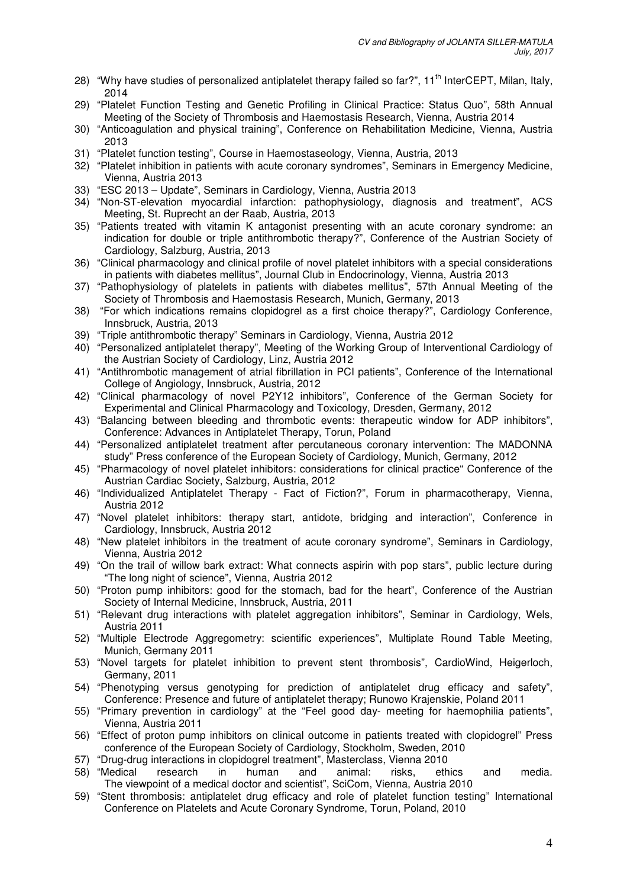- 28) "Why have studies of personalized antiplatelet therapy failed so far?", 11<sup>th</sup> InterCEPT, Milan, Italy, 2014
- 29) "Platelet Function Testing and Genetic Profiling in Clinical Practice: Status Quo", 58th Annual Meeting of the Society of Thrombosis and Haemostasis Research, Vienna, Austria 2014
- 30) "Anticoagulation and physical training", Conference on Rehabilitation Medicine, Vienna, Austria 2013
- 31) "Platelet function testing", Course in Haemostaseology, Vienna, Austria, 2013
- 32) "Platelet inhibition in patients with acute coronary syndromes", Seminars in Emergency Medicine, Vienna, Austria 2013
- 33) "ESC 2013 Update", Seminars in Cardiology, Vienna, Austria 2013
- 34) "Non-ST-elevation myocardial infarction: pathophysiology, diagnosis and treatment", ACS Meeting, St. Ruprecht an der Raab, Austria, 2013
- 35) "Patients treated with vitamin K antagonist presenting with an acute coronary syndrome: an indication for double or triple antithrombotic therapy?", Conference of the Austrian Society of Cardiology, Salzburg, Austria, 2013
- 36) "Clinical pharmacology and clinical profile of novel platelet inhibitors with a special considerations in patients with diabetes mellitus", Journal Club in Endocrinology, Vienna, Austria 2013
- 37) "Pathophysiology of platelets in patients with diabetes mellitus", 57th Annual Meeting of the Society of Thrombosis and Haemostasis Research, Munich, Germany, 2013
- 38) "For which indications remains clopidogrel as a first choice therapy?", Cardiology Conference, Innsbruck, Austria, 2013
- 39) "Triple antithrombotic therapy" Seminars in Cardiology, Vienna, Austria 2012
- 40) "Personalized antiplatelet therapy", Meeting of the Working Group of Interventional Cardiology of the Austrian Society of Cardiology, Linz, Austria 2012
- 41) "Antithrombotic management of atrial fibrillation in PCI patients", Conference of the International College of Angiology, Innsbruck, Austria, 2012
- 42) "Clinical pharmacology of novel P2Y12 inhibitors", Conference of the German Society for Experimental and Clinical Pharmacology and Toxicology, Dresden, Germany, 2012
- 43) "Balancing between bleeding and thrombotic events: therapeutic window for ADP inhibitors", Conference: Advances in Antiplatelet Therapy, Torun, Poland
- 44) "Personalized antiplatelet treatment after percutaneous coronary intervention: The MADONNA study" Press conference of the European Society of Cardiology, Munich, Germany, 2012
- 45) "Pharmacology of novel platelet inhibitors: considerations for clinical practice" Conference of the Austrian Cardiac Society, Salzburg, Austria, 2012
- 46) "Individualized Antiplatelet Therapy Fact of Fiction?", Forum in pharmacotherapy, Vienna, Austria 2012
- 47) "Novel platelet inhibitors: therapy start, antidote, bridging and interaction", Conference in Cardiology, Innsbruck, Austria 2012
- 48) "New platelet inhibitors in the treatment of acute coronary syndrome", Seminars in Cardiology, Vienna, Austria 2012
- 49) "On the trail of willow bark extract: What connects aspirin with pop stars", public lecture during "The long night of science", Vienna, Austria 2012
- 50) "Proton pump inhibitors: good for the stomach, bad for the heart", Conference of the Austrian Society of Internal Medicine, Innsbruck, Austria, 2011
- 51) "Relevant drug interactions with platelet aggregation inhibitors", Seminar in Cardiology, Wels, Austria 2011
- 52) "Multiple Electrode Aggregometry: scientific experiences", Multiplate Round Table Meeting, Munich, Germany 2011
- 53) "Novel targets for platelet inhibition to prevent stent thrombosis", CardioWind, Heigerloch, Germany, 2011
- 54) "Phenotyping versus genotyping for prediction of antiplatelet drug efficacy and safety", Conference: Presence and future of antiplatelet therapy; Runowo Krajenskie, Poland 2011
- 55) "Primary prevention in cardiology" at the "Feel good day- meeting for haemophilia patients", Vienna, Austria 2011
- 56) "Effect of proton pump inhibitors on clinical outcome in patients treated with clopidogrel" Press conference of the European Society of Cardiology, Stockholm, Sweden, 2010
- 57) "Drug-drug interactions in clopidogrel treatment", Masterclass, Vienna 2010
- 58) "Medical research in human and animal: risks, ethics and media. The viewpoint of a medical doctor and scientist", SciCom, Vienna, Austria 2010
- 59) "Stent thrombosis: antiplatelet drug efficacy and role of platelet function testing" International Conference on Platelets and Acute Coronary Syndrome, Torun, Poland, 2010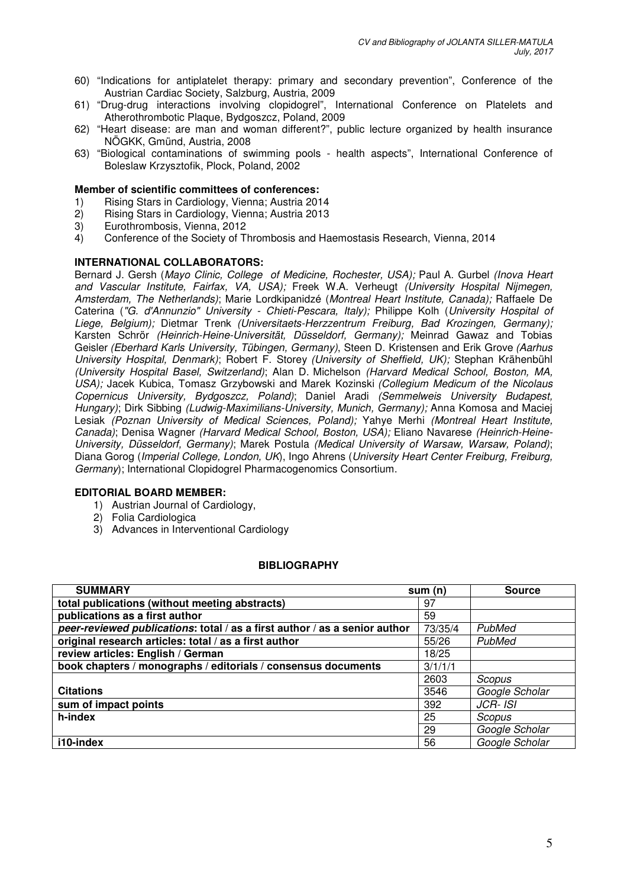- 60) "Indications for antiplatelet therapy: primary and secondary prevention", Conference of the Austrian Cardiac Society, Salzburg, Austria, 2009
- 61) "Drug-drug interactions involving clopidogrel", International Conference on Platelets and Atherothrombotic Plaque, Bydgoszcz, Poland, 2009
- 62) "Heart disease: are man and woman different?", public lecture organized by health insurance NÖGKK, Gmünd, Austria, 2008
- 63) "Biological contaminations of swimming pools health aspects", International Conference of Boleslaw Krzysztofik, Plock, Poland, 2002

## **Member of scientific committees of conferences:**

- 1) Rising Stars in Cardiology, Vienna; Austria 2014
- 2) Rising Stars in Cardiology, Vienna; Austria 2013
- 3) Eurothrombosis, Vienna, 2012
- 4) Conference of the Society of Thrombosis and Haemostasis Research, Vienna, 2014

## **INTERNATIONAL COLLABORATORS:**

Bernard J. Gersh (Mayo Clinic, College of Medicine, Rochester, USA); Paul A. Gurbel (Inova Heart and Vascular Institute, Fairfax, VA, USA); Freek W.A. Verheugt (University Hospital Nijmegen, Amsterdam, The Netherlands); Marie Lordkipanidzé (Montreal Heart Institute, Canada); Raffaele De Caterina ("G. d'Annunzio" University - Chieti-Pescara, Italy); Philippe Kolh (University Hospital of Liege, Belgium); Dietmar Trenk (Universitaets-Herzzentrum Freiburg, Bad Krozingen, Germany); Karsten Schrör (Heinrich-Heine-Universität, Düsseldorf, Germany); Meinrad Gawaz and Tobias Geisler (Eberhard Karls University, Tübingen, Germany), Steen D. Kristensen and Erik Grove (Aarhus University Hospital, Denmark); Robert F. Storey (University of Sheffield, UK); Stephan Krähenbühl (University Hospital Basel, Switzerland); Alan D. Michelson (Harvard Medical School, Boston, MA, USA); Jacek Kubica, Tomasz Grzybowski and Marek Kozinski (Collegium Medicum of the Nicolaus Copernicus University, Bydgoszcz, Poland); Daniel Aradi (Semmelweis University Budapest, Hungary); Dirk Sibbing (Ludwig-Maximilians-University, Munich, Germany); Anna Komosa and Maciej Lesiak (Poznan University of Medical Sciences, Poland); Yahye Merhi (Montreal Heart Institute, Canada); Denisa Wagner (Harvard Medical School, Boston, USA); Eliano Navarese (Heinrich-Heine-University, Düsseldorf, Germany); Marek Postula (Medical University of Warsaw, Warsaw, Poland); Diana Gorog (Imperial College, London, UK), Ingo Ahrens (University Heart Center Freiburg, Freiburg, Germany); International Clopidogrel Pharmacogenomics Consortium.

## **EDITORIAL BOARD MEMBER:**

- 1) Austrian Journal of Cardiology,
- 2) Folia Cardiologica
- 3) Advances in Interventional Cardiology

#### **BIBLIOGRAPHY**

| <b>SUMMARY</b>                                                             | sum(n)  | <b>Source</b>  |
|----------------------------------------------------------------------------|---------|----------------|
| total publications (without meeting abstracts)                             | 97      |                |
| publications as a first author                                             | 59      |                |
| peer-reviewed publications: total / as a first author / as a senior author | 73/35/4 | PubMed         |
| original research articles: total / as a first author                      | 55/26   | PubMed         |
| review articles: English / German                                          | 18/25   |                |
| book chapters / monographs / editorials / consensus documents              | 3/1/1/1 |                |
|                                                                            | 2603    | Scopus         |
| <b>Citations</b>                                                           | 3546    | Google Scholar |
| sum of impact points                                                       | 392     | JCR- ISI       |
| h-index                                                                    | 25      | Scopus         |
|                                                                            | 29      | Google Scholar |
| i10-index                                                                  | 56      | Google Scholar |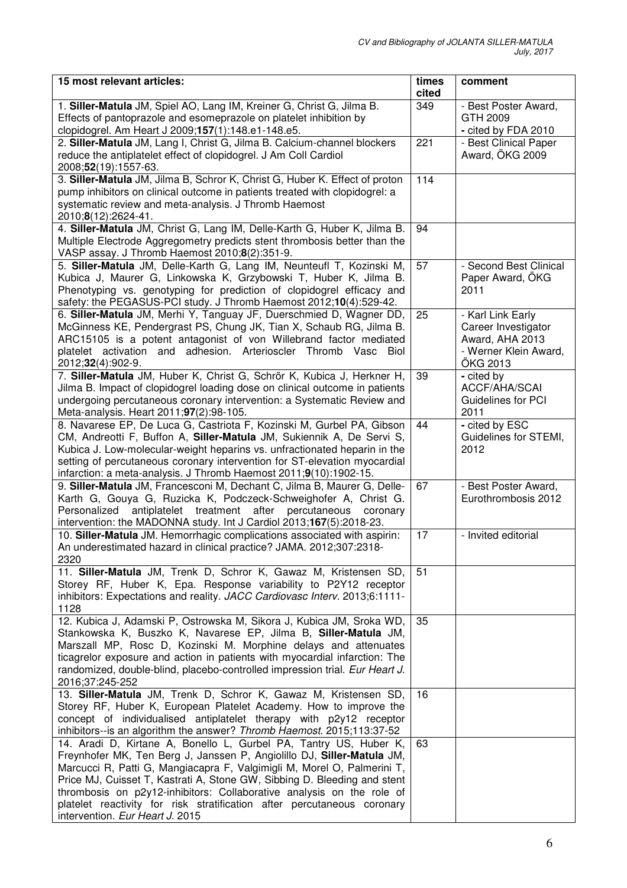| 15 most relevant articles:                                                                                                                             | times<br>cited | comment                                  |
|--------------------------------------------------------------------------------------------------------------------------------------------------------|----------------|------------------------------------------|
| 1. Siller-Matula JM, Spiel AO, Lang IM, Kreiner G, Christ G, Jilma B.                                                                                  | 349            | - Best Poster Award,                     |
| Effects of pantoprazole and esomeprazole on platelet inhibition by                                                                                     |                | GTH 2009                                 |
| clopidogrel. Am Heart J 2009;157(1):148.e1-148.e5.                                                                                                     |                | - cited by FDA 2010                      |
| 2. Siller-Matula JM, Lang I, Christ G, Jilma B. Calcium-channel blockers                                                                               | 221            | - Best Clinical Paper                    |
| reduce the antiplatelet effect of clopidogrel. J Am Coll Cardiol                                                                                       |                | Award, ÖKG 2009                          |
| 2008;52(19):1557-63.                                                                                                                                   |                |                                          |
| 3. Siller-Matula JM, Jilma B, Schror K, Christ G, Huber K. Effect of proton                                                                            | 114            |                                          |
| pump inhibitors on clinical outcome in patients treated with clopidogrel: a<br>systematic review and meta-analysis. J Thromb Haemost                   |                |                                          |
| 2010;8(12):2624-41.                                                                                                                                    |                |                                          |
| 4. Siller-Matula JM, Christ G, Lang IM, Delle-Karth G, Huber K, Jilma B.                                                                               | 94             |                                          |
| Multiple Electrode Aggregometry predicts stent thrombosis better than the                                                                              |                |                                          |
| VASP assay. J Thromb Haemost 2010;8(2):351-9.                                                                                                          |                |                                          |
| 5. Siller-Matula JM, Delle-Karth G, Lang IM, Neunteufl T, Kozinski M,                                                                                  | 57             | - Second Best Clinical                   |
| Kubica J, Maurer G, Linkowska K, Grzybowski T, Huber K, Jilma B.                                                                                       |                | Paper Award, ÖKG                         |
| Phenotyping vs. genotyping for prediction of clopidogrel efficacy and                                                                                  |                | 2011                                     |
| safety: the PEGASUS-PCI study. J Thromb Haemost 2012;10(4):529-42.                                                                                     |                |                                          |
| 6. Siller-Matula JM, Merhi Y, Tanguay JF, Duerschmied D, Wagner DD,<br>McGinness KE, Pendergrast PS, Chung JK, Tian X, Schaub RG, Jilma B.             | 25             | - Karl Link Early<br>Career Investigator |
| ARC15105 is a potent antagonist of von Willebrand factor mediated                                                                                      |                | Award, AHA 2013                          |
| platelet activation and adhesion. Arterioscler Thromb Vasc Biol                                                                                        |                | - Werner Klein Award,                    |
| 2012;32(4):902-9.                                                                                                                                      |                | ÖKG 2013                                 |
| 7. Siller-Matula JM, Huber K, Christ G, Schrör K, Kubica J, Herkner H,                                                                                 | 39             | - cited by                               |
| Jilma B. Impact of clopidogrel loading dose on clinical outcome in patients                                                                            |                | ACCF/AHA/SCAI                            |
| undergoing percutaneous coronary intervention: a Systematic Review and                                                                                 |                | Guidelines for PCI                       |
| Meta-analysis. Heart 2011;97(2):98-105.                                                                                                                |                | 2011                                     |
| 8. Navarese EP, De Luca G, Castriota F, Kozinski M, Gurbel PA, Gibson                                                                                  | 44             | - cited by ESC                           |
| CM, Andreotti F, Buffon A, Siller-Matula JM, Sukiennik A, De Servi S,                                                                                  |                | Guidelines for STEMI,                    |
| Kubica J. Low-molecular-weight heparins vs. unfractionated heparin in the<br>setting of percutaneous coronary intervention for ST-elevation myocardial |                | 2012                                     |
| infarction: a meta-analysis. J Thromb Haemost 2011;9(10):1902-15.                                                                                      |                |                                          |
| 9. Siller-Matula JM, Francesconi M, Dechant C, Jilma B, Maurer G, Delle-                                                                               | 67             | - Best Poster Award,                     |
| Karth G, Gouya G, Ruzicka K, Podczeck-Schweighofer A, Christ G.                                                                                        |                | Eurothrombosis 2012                      |
| Personalized<br>antiplatelet treatment after<br>percutaneous<br>coronary                                                                               |                |                                          |
| intervention: the MADONNA study. Int J Cardiol 2013;167(5):2018-23.                                                                                    |                |                                          |
| 10. Siller-Matula JM. Hemorrhagic complications associated with aspirin:                                                                               | 17             | - Invited editorial                      |
| An underestimated hazard in clinical practice? JAMA. 2012;307:2318-                                                                                    |                |                                          |
| 2320                                                                                                                                                   |                |                                          |
| 11. Siller-Matula JM, Trenk D, Schror K, Gawaz M, Kristensen SD,<br>Storey RF, Huber K, Epa. Response variability to P2Y12 receptor                    | 51             |                                          |
| inhibitors: Expectations and reality. JACC Cardiovasc Interv. 2013;6:1111-                                                                             |                |                                          |
| 1128                                                                                                                                                   |                |                                          |
| 12. Kubica J, Adamski P, Ostrowska M, Sikora J, Kubica JM, Sroka WD,                                                                                   | 35             |                                          |
| Stankowska K, Buszko K, Navarese EP, Jilma B, Siller-Matula JM,                                                                                        |                |                                          |
| Marszall MP, Rosc D, Kozinski M. Morphine delays and attenuates                                                                                        |                |                                          |
| ticagrelor exposure and action in patients with myocardial infarction: The                                                                             |                |                                          |
| randomized, double-blind, placebo-controlled impression trial. Eur Heart J.                                                                            |                |                                          |
| 2016;37:245-252                                                                                                                                        |                |                                          |
| 13. Siller-Matula JM, Trenk D, Schror K, Gawaz M, Kristensen SD,<br>Storey RF, Huber K, European Platelet Academy. How to improve the                  | 16             |                                          |
| concept of individualised antiplatelet therapy with p2y12 receptor                                                                                     |                |                                          |
| inhibitors--is an algorithm the answer? Thromb Haemost. 2015;113:37-52                                                                                 |                |                                          |
| 14. Aradi D, Kirtane A, Bonello L, Gurbel PA, Tantry US, Huber K,                                                                                      |                |                                          |
| Freynhofer MK, Ten Berg J, Janssen P, Angiolillo DJ, Siller-Matula JM,                                                                                 | 63             |                                          |
| Marcucci R, Patti G, Mangiacapra F, Valgimigli M, Morel O, Palmerini T,                                                                                |                |                                          |
| Price MJ, Cuisset T, Kastrati A, Stone GW, Sibbing D. Bleeding and stent                                                                               |                |                                          |
| thrombosis on p2y12-inhibitors: Collaborative analysis on the role of                                                                                  |                |                                          |
| platelet reactivity for risk stratification after percutaneous coronary                                                                                |                |                                          |
| intervention. Eur Heart J. 2015                                                                                                                        |                |                                          |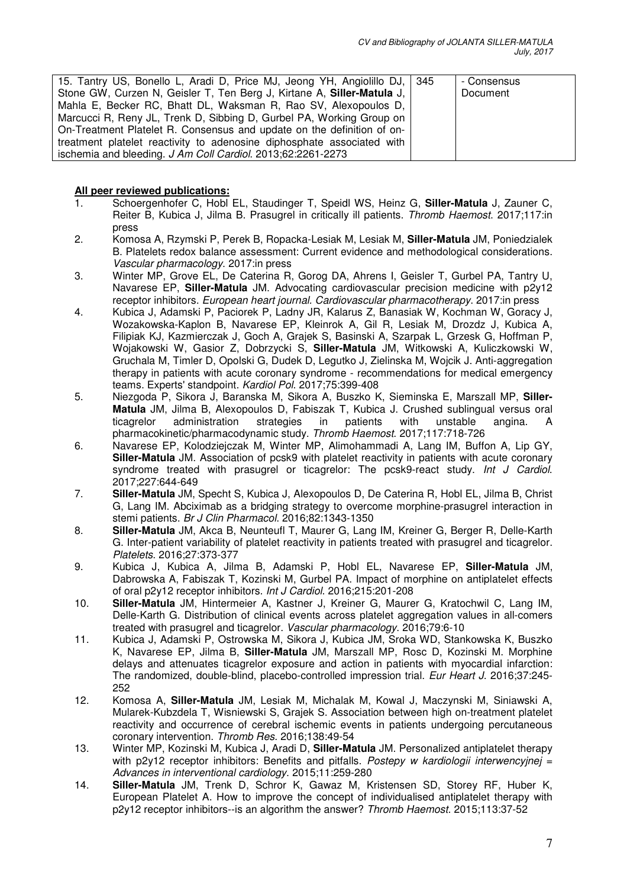| 15. Tantry US, Bonello L, Aradi D, Price MJ, Jeong YH, Angiolillo DJ, 345 | - Consensus |
|---------------------------------------------------------------------------|-------------|
| Stone GW, Curzen N, Geisler T, Ten Berg J, Kirtane A, Siller-Matula J,    | Document    |
| Mahla E, Becker RC, Bhatt DL, Waksman R, Rao SV, Alexopoulos D,           |             |
| Marcucci R, Reny JL, Trenk D, Sibbing D, Gurbel PA, Working Group on      |             |
| On-Treatment Platelet R. Consensus and update on the definition of on-    |             |
| treatment platelet reactivity to adenosine diphosphate associated with    |             |
| ischemia and bleeding. J Am Coll Cardiol. 2013;62:2261-2273               |             |

# **All peer reviewed publications:**

- 1. Schoergenhofer C, Hobl EL, Staudinger T, Speidl WS, Heinz G, **Siller-Matula** J, Zauner C, Reiter B, Kubica J, Jilma B. Prasugrel in critically ill patients. Thromb Haemost. 2017;117:in press
- 2. Komosa A, Rzymski P, Perek B, Ropacka-Lesiak M, Lesiak M, **Siller-Matula** JM, Poniedzialek B. Platelets redox balance assessment: Current evidence and methodological considerations. Vascular pharmacology. 2017:in press
- 3. Winter MP, Grove EL, De Caterina R, Gorog DA, Ahrens I, Geisler T, Gurbel PA, Tantry U, Navarese EP, **Siller-Matula** JM. Advocating cardiovascular precision medicine with p2y12 receptor inhibitors. European heart journal. Cardiovascular pharmacotherapy. 2017:in press
- 4. Kubica J, Adamski P, Paciorek P, Ladny JR, Kalarus Z, Banasiak W, Kochman W, Goracy J, Wozakowska-Kaplon B, Navarese EP, Kleinrok A, Gil R, Lesiak M, Drozdz J, Kubica A, Filipiak KJ, Kazmierczak J, Goch A, Grajek S, Basinski A, Szarpak L, Grzesk G, Hoffman P, Wojakowski W, Gasior Z, Dobrzycki S, **Siller-Matula** JM, Witkowski A, Kuliczkowski W, Gruchala M, Timler D, Opolski G, Dudek D, Legutko J, Zielinska M, Wojcik J. Anti-aggregation therapy in patients with acute coronary syndrome - recommendations for medical emergency teams. Experts' standpoint. Kardiol Pol. 2017;75:399-408
- 5. Niezgoda P, Sikora J, Baranska M, Sikora A, Buszko K, Sieminska E, Marszall MP, **Siller-Matula** JM, Jilma B, Alexopoulos D, Fabiszak T, Kubica J. Crushed sublingual versus oral ticagrelor administration strategies in patients with unstable angina. A ticagrelor administration strategies in patients with unstable angina. A pharmacokinetic/pharmacodynamic study. Thromb Haemost. 2017;117:718-726
- 6. Navarese EP, Kolodziejczak M, Winter MP, Alimohammadi A, Lang IM, Buffon A, Lip GY, **Siller-Matula** JM. Association of pcsk9 with platelet reactivity in patients with acute coronary syndrome treated with prasugrel or ticagrelor: The pcsk9-react study. Int J Cardiol. 2017;227:644-649
- 7. **Siller-Matula** JM, Specht S, Kubica J, Alexopoulos D, De Caterina R, Hobl EL, Jilma B, Christ G, Lang IM. Abciximab as a bridging strategy to overcome morphine-prasugrel interaction in stemi patients. Br J Clin Pharmacol. 2016;82:1343-1350
- 8. **Siller-Matula** JM, Akca B, Neunteufl T, Maurer G, Lang IM, Kreiner G, Berger R, Delle-Karth G. Inter-patient variability of platelet reactivity in patients treated with prasugrel and ticagrelor. Platelets. 2016;27:373-377
- 9. Kubica J, Kubica A, Jilma B, Adamski P, Hobl EL, Navarese EP, **Siller-Matula** JM, Dabrowska A, Fabiszak T, Kozinski M, Gurbel PA. Impact of morphine on antiplatelet effects of oral p2y12 receptor inhibitors. Int J Cardiol. 2016;215:201-208
- 10. **Siller-Matula** JM, Hintermeier A, Kastner J, Kreiner G, Maurer G, Kratochwil C, Lang IM, Delle-Karth G. Distribution of clinical events across platelet aggregation values in all-comers treated with prasugrel and ticagrelor. Vascular pharmacology. 2016;79:6-10
- 11. Kubica J, Adamski P, Ostrowska M, Sikora J, Kubica JM, Sroka WD, Stankowska K, Buszko K, Navarese EP, Jilma B, **Siller-Matula** JM, Marszall MP, Rosc D, Kozinski M. Morphine delays and attenuates ticagrelor exposure and action in patients with myocardial infarction: The randomized, double-blind, placebo-controlled impression trial. *Eur Heart J.* 2016;37:245-252
- 12. Komosa A, **Siller-Matula** JM, Lesiak M, Michalak M, Kowal J, Maczynski M, Siniawski A, Mularek-Kubzdela T, Wisniewski S, Grajek S. Association between high on-treatment platelet reactivity and occurrence of cerebral ischemic events in patients undergoing percutaneous coronary intervention. Thromb Res. 2016;138:49-54
- 13. Winter MP, Kozinski M, Kubica J, Aradi D, **Siller-Matula** JM. Personalized antiplatelet therapy with p2y12 receptor inhibitors: Benefits and pitfalls. Postepy w kardiologii interwencyjnej = Advances in interventional cardiology. 2015;11:259-280
- 14. **Siller-Matula** JM, Trenk D, Schror K, Gawaz M, Kristensen SD, Storey RF, Huber K, European Platelet A. How to improve the concept of individualised antiplatelet therapy with p2y12 receptor inhibitors--is an algorithm the answer? Thromb Haemost. 2015;113:37-52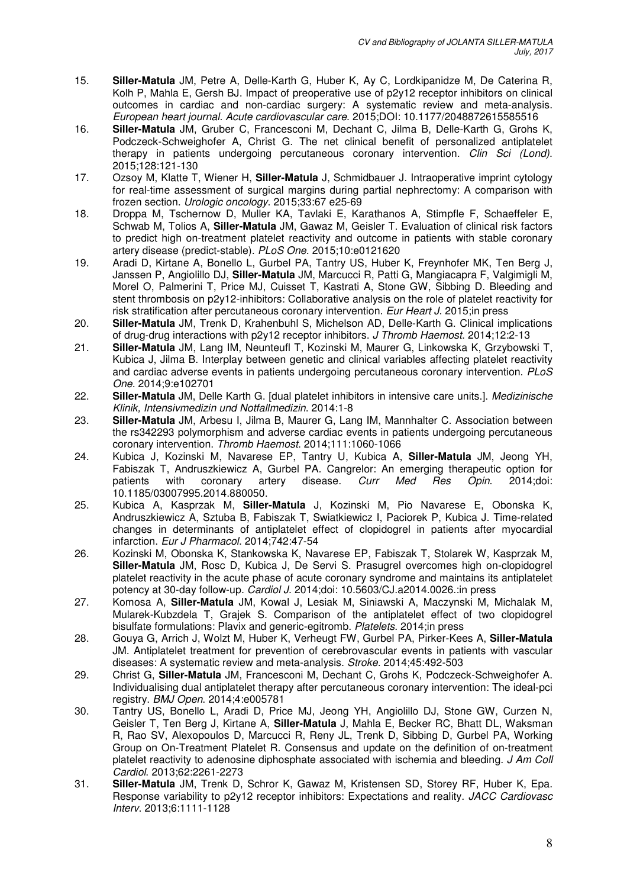- 15. **Siller-Matula** JM, Petre A, Delle-Karth G, Huber K, Ay C, Lordkipanidze M, De Caterina R, Kolh P, Mahla E, Gersh BJ. Impact of preoperative use of p2y12 receptor inhibitors on clinical outcomes in cardiac and non-cardiac surgery: A systematic review and meta-analysis. European heart journal. Acute cardiovascular care. 2015;DOI: 10.1177/2048872615585516
- 16. **Siller-Matula** JM, Gruber C, Francesconi M, Dechant C, Jilma B, Delle-Karth G, Grohs K, Podczeck-Schweighofer A, Christ G. The net clinical benefit of personalized antiplatelet therapy in patients undergoing percutaneous coronary intervention. Clin Sci (Lond). 2015;128:121-130
- 17. Ozsoy M, Klatte T, Wiener H, **Siller-Matula** J, Schmidbauer J. Intraoperative imprint cytology for real-time assessment of surgical margins during partial nephrectomy: A comparison with frozen section. Urologic oncology. 2015;33:67 e25-69
- 18. Droppa M, Tschernow D, Muller KA, Tavlaki E, Karathanos A, Stimpfle F, Schaeffeler E, Schwab M, Tolios A, **Siller-Matula** JM, Gawaz M, Geisler T. Evaluation of clinical risk factors to predict high on-treatment platelet reactivity and outcome in patients with stable coronary artery disease (predict-stable). PLoS One. 2015;10:e0121620
- 19. Aradi D, Kirtane A, Bonello L, Gurbel PA, Tantry US, Huber K, Freynhofer MK, Ten Berg J, Janssen P, Angiolillo DJ, **Siller-Matula** JM, Marcucci R, Patti G, Mangiacapra F, Valgimigli M, Morel O, Palmerini T, Price MJ, Cuisset T, Kastrati A, Stone GW, Sibbing D. Bleeding and stent thrombosis on p2y12-inhibitors: Collaborative analysis on the role of platelet reactivity for risk stratification after percutaneous coronary intervention. Eur Heart J. 2015; in press
- 20. **Siller-Matula** JM, Trenk D, Krahenbuhl S, Michelson AD, Delle-Karth G. Clinical implications of drug-drug interactions with p2y12 receptor inhibitors. J Thromb Haemost. 2014;12:2-13
- 21. **Siller-Matula** JM, Lang IM, Neunteufl T, Kozinski M, Maurer G, Linkowska K, Grzybowski T, Kubica J, Jilma B. Interplay between genetic and clinical variables affecting platelet reactivity and cardiac adverse events in patients undergoing percutaneous coronary intervention. PLoS One. 2014;9:e102701
- 22. **Siller-Matula** JM, Delle Karth G. [dual platelet inhibitors in intensive care units.]. Medizinische Klinik, Intensivmedizin und Notfallmedizin. 2014:1-8
- 23. **Siller-Matula** JM, Arbesu I, Jilma B, Maurer G, Lang IM, Mannhalter C. Association between the rs342293 polymorphism and adverse cardiac events in patients undergoing percutaneous coronary intervention. Thromb Haemost. 2014;111:1060-1066
- 24. Kubica J, Kozinski M, Navarese EP, Tantry U, Kubica A, **Siller-Matula** JM, Jeong YH, Fabiszak T, Andruszkiewicz A, Gurbel PA. Cangrelor: An emerging therapeutic option for patients with coronary artery disease. Curr Med Res Opin. 2014:doi: patients with coronary artery disease. Curr Med Res Opin. 2014;doi: 10.1185/03007995.2014.880050.
- 25. Kubica A, Kasprzak M, **Siller-Matula** J, Kozinski M, Pio Navarese E, Obonska K, Andruszkiewicz A, Sztuba B, Fabiszak T, Swiatkiewicz I, Paciorek P, Kubica J. Time-related changes in determinants of antiplatelet effect of clopidogrel in patients after myocardial infarction. Eur J Pharmacol. 2014;742:47-54
- 26. Kozinski M, Obonska K, Stankowska K, Navarese EP, Fabiszak T, Stolarek W, Kasprzak M, **Siller-Matula** JM, Rosc D, Kubica J, De Servi S. Prasugrel overcomes high on-clopidogrel platelet reactivity in the acute phase of acute coronary syndrome and maintains its antiplatelet potency at 30-day follow-up. Cardiol J. 2014;doi: 10.5603/CJ.a2014.0026.:in press
- 27. Komosa A, **Siller-Matula** JM, Kowal J, Lesiak M, Siniawski A, Maczynski M, Michalak M, Mularek-Kubzdela T, Grajek S. Comparison of the antiplatelet effect of two clopidogrel bisulfate formulations: Plavix and generic-egitromb. Platelets. 2014;in press
- 28. Gouya G, Arrich J, Wolzt M, Huber K, Verheugt FW, Gurbel PA, Pirker-Kees A, **Siller-Matula** JM. Antiplatelet treatment for prevention of cerebrovascular events in patients with vascular diseases: A systematic review and meta-analysis. Stroke. 2014;45:492-503
- 29. Christ G, **Siller-Matula** JM, Francesconi M, Dechant C, Grohs K, Podczeck-Schweighofer A. Individualising dual antiplatelet therapy after percutaneous coronary intervention: The ideal-pci registry. BMJ Open. 2014;4:e005781
- 30. Tantry US, Bonello L, Aradi D, Price MJ, Jeong YH, Angiolillo DJ, Stone GW, Curzen N, Geisler T, Ten Berg J, Kirtane A, **Siller-Matula** J, Mahla E, Becker RC, Bhatt DL, Waksman R, Rao SV, Alexopoulos D, Marcucci R, Reny JL, Trenk D, Sibbing D, Gurbel PA, Working Group on On-Treatment Platelet R. Consensus and update on the definition of on-treatment platelet reactivity to adenosine diphosphate associated with ischemia and bleeding. J Am Coll Cardiol. 2013;62:2261-2273
- 31. **Siller-Matula** JM, Trenk D, Schror K, Gawaz M, Kristensen SD, Storey RF, Huber K, Epa. Response variability to p2y12 receptor inhibitors: Expectations and reality. JACC Cardiovasc Interv. 2013;6:1111-1128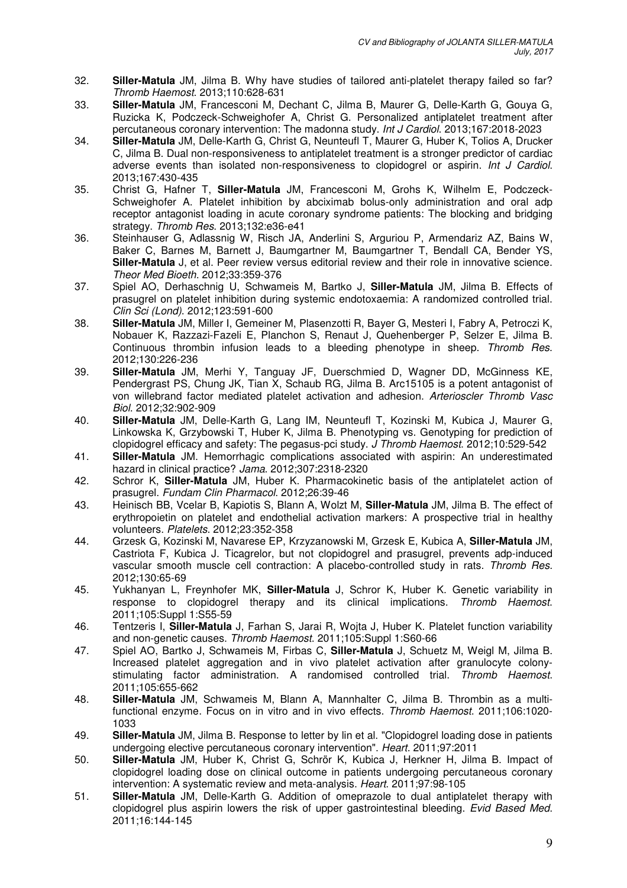- 32. **Siller-Matula** JM, Jilma B. Why have studies of tailored anti-platelet therapy failed so far? Thromb Haemost. 2013;110:628-631
- 33. **Siller-Matula** JM, Francesconi M, Dechant C, Jilma B, Maurer G, Delle-Karth G, Gouya G, Ruzicka K, Podczeck-Schweighofer A, Christ G. Personalized antiplatelet treatment after percutaneous coronary intervention: The madonna study. Int J Cardiol. 2013;167:2018-2023
- 34. **Siller-Matula** JM, Delle-Karth G, Christ G, Neunteufl T, Maurer G, Huber K, Tolios A, Drucker C, Jilma B. Dual non-responsiveness to antiplatelet treatment is a stronger predictor of cardiac adverse events than isolated non-responsiveness to clopidogrel or aspirin. Int J Cardiol. 2013;167:430-435
- 35. Christ G, Hafner T, **Siller-Matula** JM, Francesconi M, Grohs K, Wilhelm E, Podczeck-Schweighofer A. Platelet inhibition by abciximab bolus-only administration and oral adp receptor antagonist loading in acute coronary syndrome patients: The blocking and bridging strategy. Thromb Res. 2013;132:e36-e41
- 36. Steinhauser G, Adlassnig W, Risch JA, Anderlini S, Arguriou P, Armendariz AZ, Bains W, Baker C, Barnes M, Barnett J, Baumgartner M, Baumgartner T, Bendall CA, Bender YS, **Siller-Matula** J, et al. Peer review versus editorial review and their role in innovative science. Theor Med Bioeth. 2012;33:359-376
- 37. Spiel AO, Derhaschnig U, Schwameis M, Bartko J, **Siller-Matula** JM, Jilma B. Effects of prasugrel on platelet inhibition during systemic endotoxaemia: A randomized controlled trial. Clin Sci (Lond). 2012;123:591-600
- 38. **Siller-Matula** JM, Miller I, Gemeiner M, Plasenzotti R, Bayer G, Mesteri I, Fabry A, Petroczi K, Nobauer K, Razzazi-Fazeli E, Planchon S, Renaut J, Quehenberger P, Selzer E, Jilma B. Continuous thrombin infusion leads to a bleeding phenotype in sheep. Thromb Res. 2012;130:226-236
- 39. **Siller-Matula** JM, Merhi Y, Tanguay JF, Duerschmied D, Wagner DD, McGinness KE, Pendergrast PS, Chung JK, Tian X, Schaub RG, Jilma B. Arc15105 is a potent antagonist of von willebrand factor mediated platelet activation and adhesion. Arterioscler Thromb Vasc Biol. 2012;32:902-909
- 40. **Siller-Matula** JM, Delle-Karth G, Lang IM, Neunteufl T, Kozinski M, Kubica J, Maurer G, Linkowska K, Grzybowski T, Huber K, Jilma B. Phenotyping vs. Genotyping for prediction of clopidogrel efficacy and safety: The pegasus-pci study. J Thromb Haemost. 2012;10:529-542
- 41. **Siller-Matula** JM. Hemorrhagic complications associated with aspirin: An underestimated hazard in clinical practice? Jama. 2012;307:2318-2320
- 42. Schror K, **Siller-Matula** JM, Huber K. Pharmacokinetic basis of the antiplatelet action of prasugrel. Fundam Clin Pharmacol. 2012;26:39-46
- 43. Heinisch BB, Vcelar B, Kapiotis S, Blann A, Wolzt M, **Siller-Matula** JM, Jilma B. The effect of erythropoietin on platelet and endothelial activation markers: A prospective trial in healthy volunteers. Platelets. 2012;23:352-358
- 44. Grzesk G, Kozinski M, Navarese EP, Krzyzanowski M, Grzesk E, Kubica A, **Siller-Matula** JM, Castriota F, Kubica J. Ticagrelor, but not clopidogrel and prasugrel, prevents adp-induced vascular smooth muscle cell contraction: A placebo-controlled study in rats. Thromb Res. 2012;130:65-69
- 45. Yukhanyan L, Freynhofer MK, **Siller-Matula** J, Schror K, Huber K. Genetic variability in response to clopidogrel therapy and its clinical implications. Thromb Haemost. 2011;105:Suppl 1:S55-59
- 46. Tentzeris I, **Siller-Matula** J, Farhan S, Jarai R, Wojta J, Huber K. Platelet function variability and non-genetic causes. Thromb Haemost. 2011;105:Suppl 1:S60-66
- 47. Spiel AO, Bartko J, Schwameis M, Firbas C, **Siller-Matula** J, Schuetz M, Weigl M, Jilma B. Increased platelet aggregation and in vivo platelet activation after granulocyte colonystimulating factor administration. A randomised controlled trial. Thromb Haemost. 2011;105:655-662
- 48. **Siller-Matula** JM, Schwameis M, Blann A, Mannhalter C, Jilma B. Thrombin as a multifunctional enzyme. Focus on in vitro and in vivo effects. Thromb Haemost. 2011;106:1020- 1033
- 49. **Siller-Matula** JM, Jilma B. Response to letter by lin et al. "Clopidogrel loading dose in patients undergoing elective percutaneous coronary intervention". Heart. 2011;97:2011
- 50. **Siller-Matula** JM, Huber K, Christ G, Schrör K, Kubica J, Herkner H, Jilma B. Impact of clopidogrel loading dose on clinical outcome in patients undergoing percutaneous coronary intervention: A systematic review and meta-analysis. Heart. 2011;97:98-105
- 51. **Siller-Matula** JM, Delle-Karth G. Addition of omeprazole to dual antiplatelet therapy with clopidogrel plus aspirin lowers the risk of upper gastrointestinal bleeding. Evid Based Med. 2011;16:144-145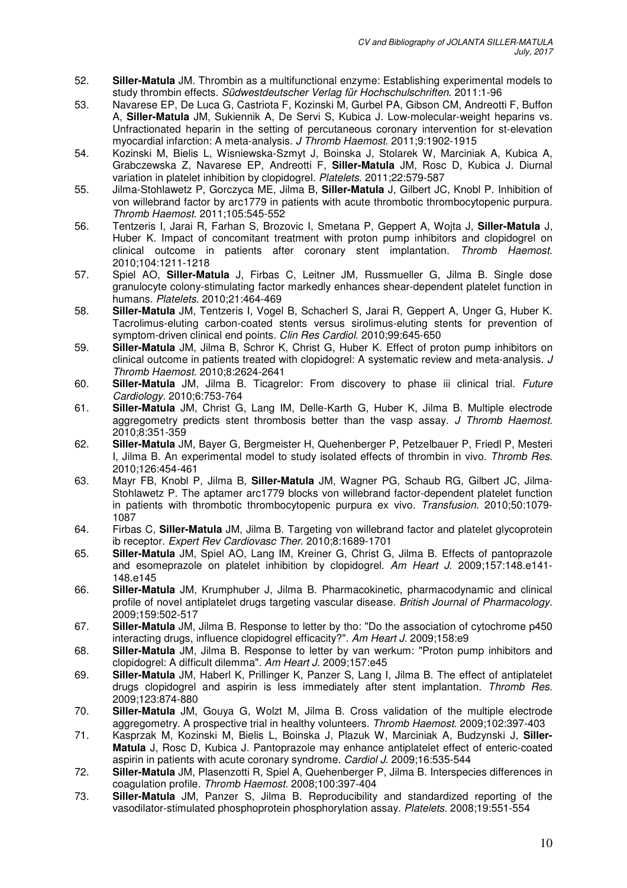- 52. **Siller-Matula** JM. Thrombin as a multifunctional enzyme: Establishing experimental models to study thrombin effects. Südwestdeutscher Verlag für Hochschulschriften. 2011:1-96
- 53. Navarese EP, De Luca G, Castriota F, Kozinski M, Gurbel PA, Gibson CM, Andreotti F, Buffon A, **Siller-Matula** JM, Sukiennik A, De Servi S, Kubica J. Low-molecular-weight heparins vs. Unfractionated heparin in the setting of percutaneous coronary intervention for st-elevation myocardial infarction: A meta-analysis. J Thromb Haemost. 2011;9:1902-1915
- 54. Kozinski M, Bielis L, Wisniewska-Szmyt J, Boinska J, Stolarek W, Marciniak A, Kubica A, Grabczewska Z, Navarese EP, Andreotti F, **Siller-Matula** JM, Rosc D, Kubica J. Diurnal variation in platelet inhibition by clopidogrel. Platelets. 2011;22:579-587
- 55. Jilma-Stohlawetz P, Gorczyca ME, Jilma B, **Siller-Matula** J, Gilbert JC, Knobl P. Inhibition of von willebrand factor by arc1779 in patients with acute thrombotic thrombocytopenic purpura. Thromb Haemost. 2011;105:545-552
- 56. Tentzeris I, Jarai R, Farhan S, Brozovic I, Smetana P, Geppert A, Wojta J, **Siller-Matula** J, Huber K. Impact of concomitant treatment with proton pump inhibitors and clopidogrel on clinical outcome in patients after coronary stent implantation. Thromb Haemost. 2010;104:1211-1218
- 57. Spiel AO, **Siller-Matula** J, Firbas C, Leitner JM, Russmueller G, Jilma B. Single dose granulocyte colony-stimulating factor markedly enhances shear-dependent platelet function in humans. Platelets. 2010;21:464-469
- 58. **Siller-Matula** JM, Tentzeris I, Vogel B, Schacherl S, Jarai R, Geppert A, Unger G, Huber K. Tacrolimus-eluting carbon-coated stents versus sirolimus-eluting stents for prevention of symptom-driven clinical end points. Clin Res Cardiol. 2010;99:645-650
- 59. **Siller-Matula** JM, Jilma B, Schror K, Christ G, Huber K. Effect of proton pump inhibitors on clinical outcome in patients treated with clopidogrel: A systematic review and meta-analysis. J Thromb Haemost. 2010;8:2624-2641
- 60. **Siller-Matula** JM, Jilma B. Ticagrelor: From discovery to phase iii clinical trial. Future Cardiology. 2010;6:753-764
- 61. **Siller-Matula** JM, Christ G, Lang IM, Delle-Karth G, Huber K, Jilma B. Multiple electrode aggregometry predicts stent thrombosis better than the vasp assay. J Thromb Haemost. 2010;8:351-359
- 62. **Siller-Matula** JM, Bayer G, Bergmeister H, Quehenberger P, Petzelbauer P, Friedl P, Mesteri I, Jilma B. An experimental model to study isolated effects of thrombin in vivo. Thromb Res. 2010;126:454-461
- 63. Mayr FB, Knobl P, Jilma B, **Siller-Matula** JM, Wagner PG, Schaub RG, Gilbert JC, Jilma-Stohlawetz P. The aptamer arc1779 blocks von willebrand factor-dependent platelet function in patients with thrombotic thrombocytopenic purpura ex vivo. Transfusion. 2010;50:1079- 1087
- 64. Firbas C, **Siller-Matula** JM, Jilma B. Targeting von willebrand factor and platelet glycoprotein ib receptor. Expert Rev Cardiovasc Ther. 2010;8:1689-1701
- 65. **Siller-Matula** JM, Spiel AO, Lang IM, Kreiner G, Christ G, Jilma B. Effects of pantoprazole and esomeprazole on platelet inhibition by clopidogrel. Am Heart J. 2009;157:148.e141- 148.e145
- 66. **Siller-Matula** JM, Krumphuber J, Jilma B. Pharmacokinetic, pharmacodynamic and clinical profile of novel antiplatelet drugs targeting vascular disease. British Journal of Pharmacology. 2009;159:502-517
- 67. **Siller-Matula** JM, Jilma B. Response to letter by tho: "Do the association of cytochrome p450 interacting drugs, influence clopidogrel efficacity?". Am Heart J. 2009;158:e9
- 68. **Siller-Matula** JM, Jilma B. Response to letter by van werkum: "Proton pump inhibitors and clopidogrel: A difficult dilemma". Am Heart J. 2009;157:e45
- 69. **Siller-Matula** JM, Haberl K, Prillinger K, Panzer S, Lang I, Jilma B. The effect of antiplatelet drugs clopidogrel and aspirin is less immediately after stent implantation. Thromb Res. 2009;123:874-880
- 70. **Siller-Matula** JM, Gouya G, Wolzt M, Jilma B. Cross validation of the multiple electrode aggregometry. A prospective trial in healthy volunteers. Thromb Haemost. 2009;102:397-403
- 71. Kasprzak M, Kozinski M, Bielis L, Boinska J, Plazuk W, Marciniak A, Budzynski J, **Siller-Matula** J, Rosc D, Kubica J. Pantoprazole may enhance antiplatelet effect of enteric-coated aspirin in patients with acute coronary syndrome. Cardiol J. 2009;16:535-544
- 72. **Siller-Matula** JM, Plasenzotti R, Spiel A, Quehenberger P, Jilma B. Interspecies differences in coagulation profile. Thromb Haemost. 2008;100:397-404
- 73. **Siller-Matula** JM, Panzer S, Jilma B. Reproducibility and standardized reporting of the vasodilator-stimulated phosphoprotein phosphorylation assay. Platelets. 2008;19:551-554